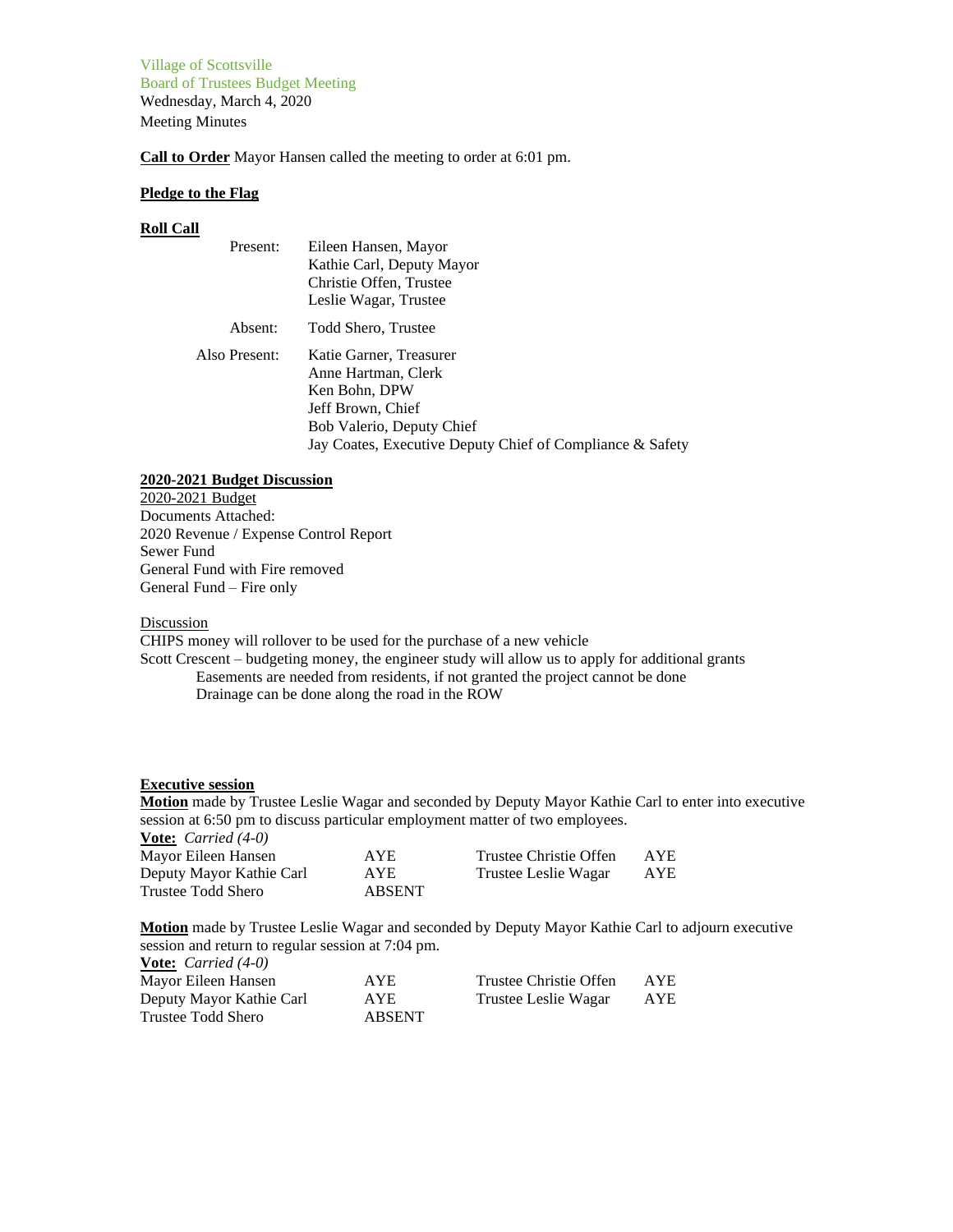Village of Scottsville Board of Trustees Budget Meeting Wednesday, March 4, 2020 Meeting Minutes

**Call to Order** Mayor Hansen called the meeting to order at 6:01 pm.

### **Pledge to the Flag**

#### **Roll Call**

| Present:      | Eileen Hansen, Mayor<br>Kathie Carl, Deputy Mayor<br>Christie Offen, Trustee<br>Leslie Wagar, Trustee                                                                          |
|---------------|--------------------------------------------------------------------------------------------------------------------------------------------------------------------------------|
| Absent:       | Todd Shero, Trustee                                                                                                                                                            |
| Also Present: | Katie Garner, Treasurer<br>Anne Hartman, Clerk<br>Ken Bohn, DPW<br>Jeff Brown, Chief<br>Bob Valerio, Deputy Chief<br>Jay Coates, Executive Deputy Chief of Compliance & Safety |

### **2020-2021 Budget Discussion**

2020-2021 Budget Documents Attached: 2020 Revenue / Expense Control Report Sewer Fund General Fund with Fire removed General Fund – Fire only

#### Discussion

CHIPS money will rollover to be used for the purchase of a new vehicle

Scott Crescent – budgeting money, the engineer study will allow us to apply for additional grants Easements are needed from residents, if not granted the project cannot be done Drainage can be done along the road in the ROW

# **Executive session**

**Motion** made by Trustee Leslie Wagar and seconded by Deputy Mayor Kathie Carl to enter into executive session at 6:50 pm to discuss particular employment matter of two employees.

| <b>Vote:</b> <i>Carried</i> $(4-0)$ |               |                        |     |
|-------------------------------------|---------------|------------------------|-----|
| Mayor Eileen Hansen                 | <b>AYE</b>    | Trustee Christie Offen | AYE |
| Deputy Mayor Kathie Carl            | AYE           | Trustee Leslie Wagar   | AYE |
| Trustee Todd Shero                  | <b>ABSENT</b> |                        |     |

**Motion** made by Trustee Leslie Wagar and seconded by Deputy Mayor Kathie Carl to adjourn executive session and return to regular session at 7:04 pm.

| <b>Vote:</b> <i>Carried</i> $(4-0)$ |               |                        |              |
|-------------------------------------|---------------|------------------------|--------------|
| Mayor Eileen Hansen                 | <b>AYE</b>    | Trustee Christie Offen | AYE          |
| Deputy Mayor Kathie Carl            | AYE.          | Trustee Leslie Wagar   | $_{\rm AYE}$ |
| Trustee Todd Shero                  | <b>ABSENT</b> |                        |              |